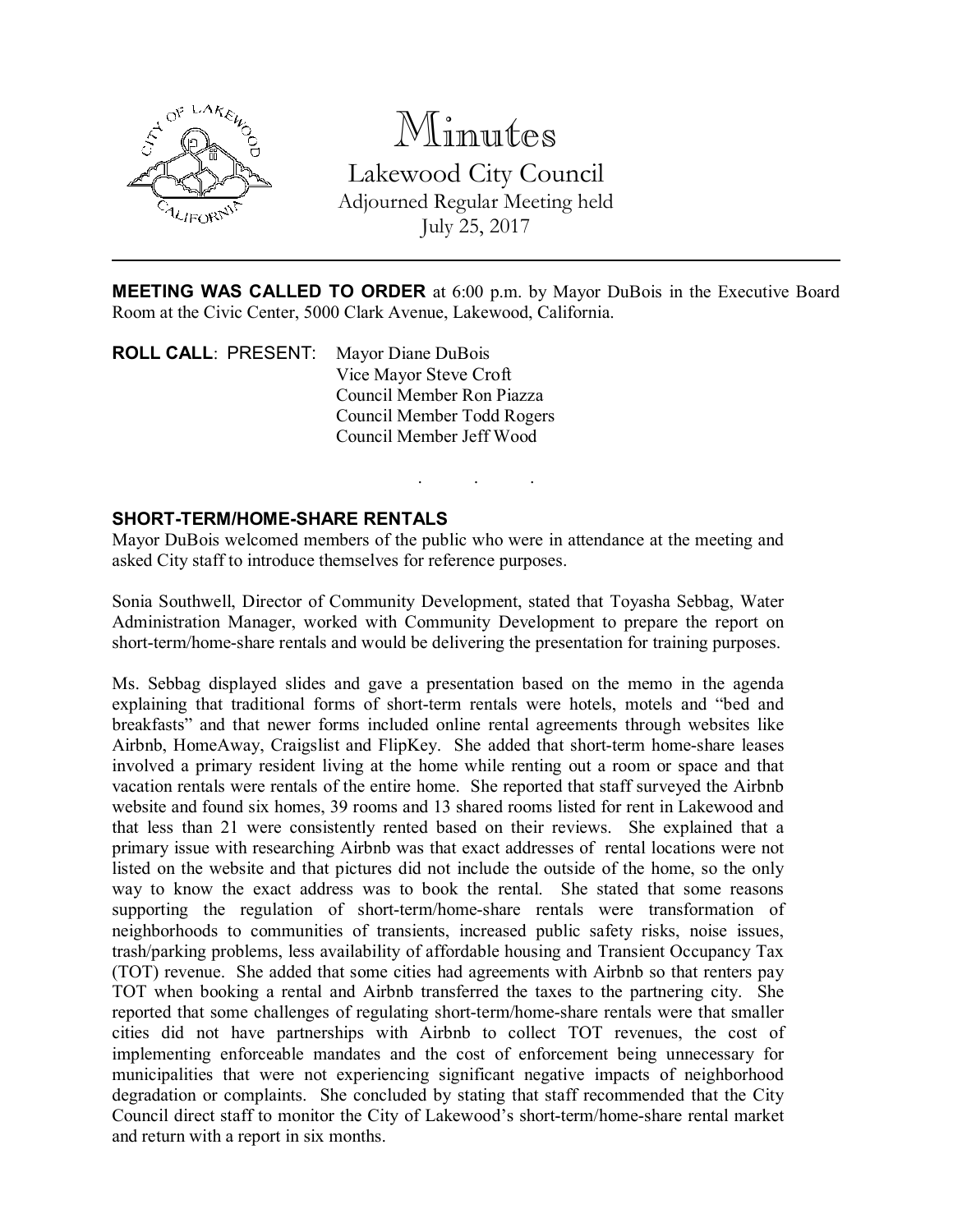

# Minutes

Lakewood City Council Adjourned Regular Meeting held July 25, 2017

MEETING WAS CALLED TO ORDER at 6:00 p.m. by Mayor DuBois in the Executive Board Room at the Civic Center, 5000 Clark Avenue, Lakewood, California.

ROLL CALL: PRESENT: Mayor Diane DuBois Vice Mayor Steve Croft Council Member Ron Piazza Council Member Todd Rogers Council Member Jeff Wood

# . . .

#### SHORT-TERM/HOME-SHARE RENTALS

Mayor DuBois welcomed members of the public who were in attendance at the meeting and asked City staff to introduce themselves for reference purposes.

Sonia Southwell, Director of Community Development, stated that Toyasha Sebbag, Water Administration Manager, worked with Community Development to prepare the report on short-term/home-share rentals and would be delivering the presentation for training purposes.

Ms. Sebbag displayed slides and gave a presentation based on the memo in the agenda explaining that traditional forms of short-term rentals were hotels, motels and "bed and breakfasts" and that newer forms included online rental agreements through websites like Airbnb, HomeAway, Craigslist and FlipKey. She added that short-term home-share leases involved a primary resident living at the home while renting out a room or space and that vacation rentals were rentals of the entire home. She reported that staff surveyed the Airbnb website and found six homes, 39 rooms and 13 shared rooms listed for rent in Lakewood and that less than 21 were consistently rented based on their reviews. She explained that a primary issue with researching Airbnb was that exact addresses of rental locations were not listed on the website and that pictures did not include the outside of the home, so the only way to know the exact address was to book the rental. She stated that some reasons supporting the regulation of short-term/home-share rentals were transformation of neighborhoods to communities of transients, increased public safety risks, noise issues, trash/parking problems, less availability of affordable housing and Transient Occupancy Tax (TOT) revenue. She added that some cities had agreements with Airbnb so that renters pay TOT when booking a rental and Airbnb transferred the taxes to the partnering city. She reported that some challenges of regulating short-term/home-share rentals were that smaller cities did not have partnerships with Airbnb to collect TOT revenues, the cost of implementing enforceable mandates and the cost of enforcement being unnecessary for municipalities that were not experiencing significant negative impacts of neighborhood degradation or complaints. She concluded by stating that staff recommended that the City Council direct staff to monitor the City of Lakewood's short-term/home-share rental market and return with a report in six months.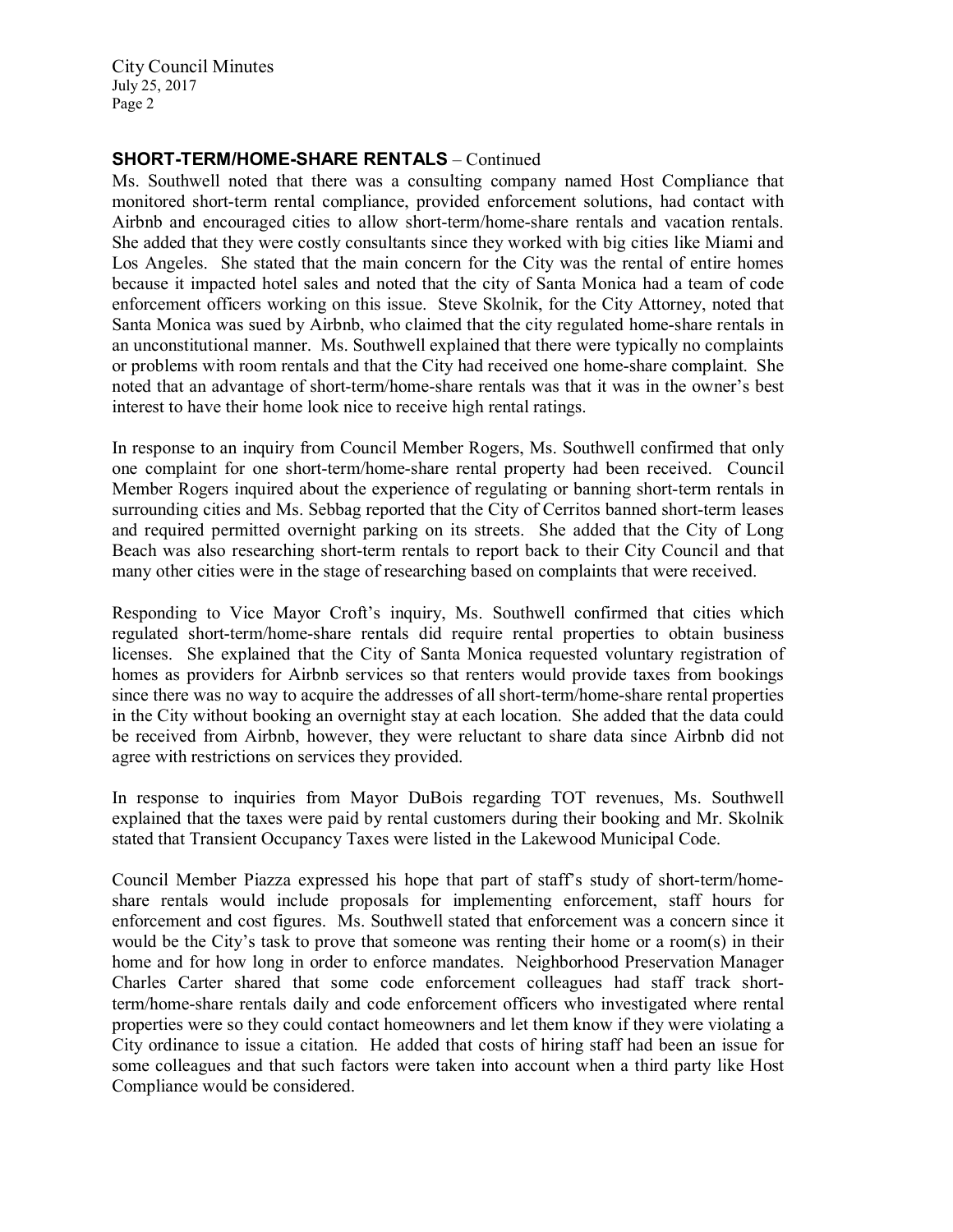## SHORT-TERM/HOME-SHARE RENTALS – Continued

Ms. Southwell noted that there was a consulting company named Host Compliance that monitored short-term rental compliance, provided enforcement solutions, had contact with Airbnb and encouraged cities to allow short-term/home-share rentals and vacation rentals. She added that they were costly consultants since they worked with big cities like Miami and Los Angeles. She stated that the main concern for the City was the rental of entire homes because it impacted hotel sales and noted that the city of Santa Monica had a team of code enforcement officers working on this issue. Steve Skolnik, for the City Attorney, noted that Santa Monica was sued by Airbnb, who claimed that the city regulated home-share rentals in an unconstitutional manner. Ms. Southwell explained that there were typically no complaints or problems with room rentals and that the City had received one home-share complaint. She noted that an advantage of short-term/home-share rentals was that it was in the owner's best interest to have their home look nice to receive high rental ratings.

In response to an inquiry from Council Member Rogers, Ms. Southwell confirmed that only one complaint for one short-term/home-share rental property had been received. Council Member Rogers inquired about the experience of regulating or banning short-term rentals in surrounding cities and Ms. Sebbag reported that the City of Cerritos banned short-term leases and required permitted overnight parking on its streets. She added that the City of Long Beach was also researching short-term rentals to report back to their City Council and that many other cities were in the stage of researching based on complaints that were received.

Responding to Vice Mayor Croft's inquiry, Ms. Southwell confirmed that cities which regulated short-term/home-share rentals did require rental properties to obtain business licenses. She explained that the City of Santa Monica requested voluntary registration of homes as providers for Airbnb services so that renters would provide taxes from bookings since there was no way to acquire the addresses of all short-term/home-share rental properties in the City without booking an overnight stay at each location. She added that the data could be received from Airbnb, however, they were reluctant to share data since Airbnb did not agree with restrictions on services they provided.

In response to inquiries from Mayor DuBois regarding TOT revenues, Ms. Southwell explained that the taxes were paid by rental customers during their booking and Mr. Skolnik stated that Transient Occupancy Taxes were listed in the Lakewood Municipal Code.

Council Member Piazza expressed his hope that part of staff's study of short-term/homeshare rentals would include proposals for implementing enforcement, staff hours for enforcement and cost figures. Ms. Southwell stated that enforcement was a concern since it would be the City's task to prove that someone was renting their home or a room(s) in their home and for how long in order to enforce mandates. Neighborhood Preservation Manager Charles Carter shared that some code enforcement colleagues had staff track shortterm/home-share rentals daily and code enforcement officers who investigated where rental properties were so they could contact homeowners and let them know if they were violating a City ordinance to issue a citation. He added that costs of hiring staff had been an issue for some colleagues and that such factors were taken into account when a third party like Host Compliance would be considered.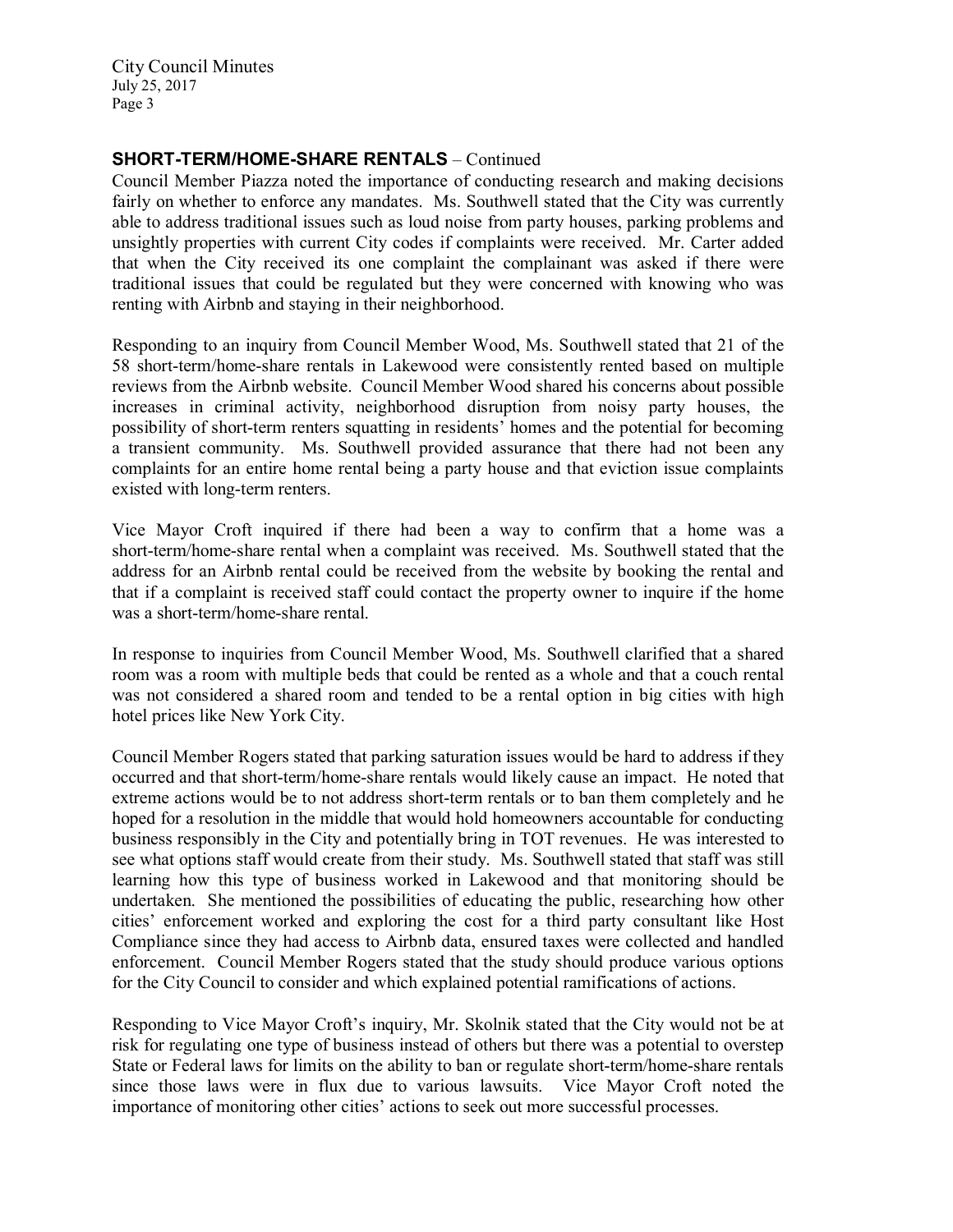### SHORT-TERM/HOME-SHARE RENTALS – Continued

Council Member Piazza noted the importance of conducting research and making decisions fairly on whether to enforce any mandates. Ms. Southwell stated that the City was currently able to address traditional issues such as loud noise from party houses, parking problems and unsightly properties with current City codes if complaints were received. Mr. Carter added that when the City received its one complaint the complainant was asked if there were traditional issues that could be regulated but they were concerned with knowing who was renting with Airbnb and staying in their neighborhood.

Responding to an inquiry from Council Member Wood, Ms. Southwell stated that 21 of the 58 short-term/home-share rentals in Lakewood were consistently rented based on multiple reviews from the Airbnb website. Council Member Wood shared his concerns about possible increases in criminal activity, neighborhood disruption from noisy party houses, the possibility of short-term renters squatting in residents' homes and the potential for becoming a transient community. Ms. Southwell provided assurance that there had not been any complaints for an entire home rental being a party house and that eviction issue complaints existed with long-term renters.

Vice Mayor Croft inquired if there had been a way to confirm that a home was a short-term/home-share rental when a complaint was received. Ms. Southwell stated that the address for an Airbnb rental could be received from the website by booking the rental and that if a complaint is received staff could contact the property owner to inquire if the home was a short-term/home-share rental

In response to inquiries from Council Member Wood, Ms. Southwell clarified that a shared room was a room with multiple beds that could be rented as a whole and that a couch rental was not considered a shared room and tended to be a rental option in big cities with high hotel prices like New York City.

Council Member Rogers stated that parking saturation issues would be hard to address if they occurred and that short-term/home-share rentals would likely cause an impact. He noted that extreme actions would be to not address short-term rentals or to ban them completely and he hoped for a resolution in the middle that would hold homeowners accountable for conducting business responsibly in the City and potentially bring in TOT revenues. He was interested to see what options staff would create from their study. Ms. Southwell stated that staff was still learning how this type of business worked in Lakewood and that monitoring should be undertaken. She mentioned the possibilities of educating the public, researching how other cities' enforcement worked and exploring the cost for a third party consultant like Host Compliance since they had access to Airbnb data, ensured taxes were collected and handled enforcement. Council Member Rogers stated that the study should produce various options for the City Council to consider and which explained potential ramifications of actions.

Responding to Vice Mayor Croft's inquiry, Mr. Skolnik stated that the City would not be at risk for regulating one type of business instead of others but there was a potential to overstep State or Federal laws for limits on the ability to ban or regulate short-term/home-share rentals since those laws were in flux due to various lawsuits. Vice Mayor Croft noted the importance of monitoring other cities' actions to seek out more successful processes.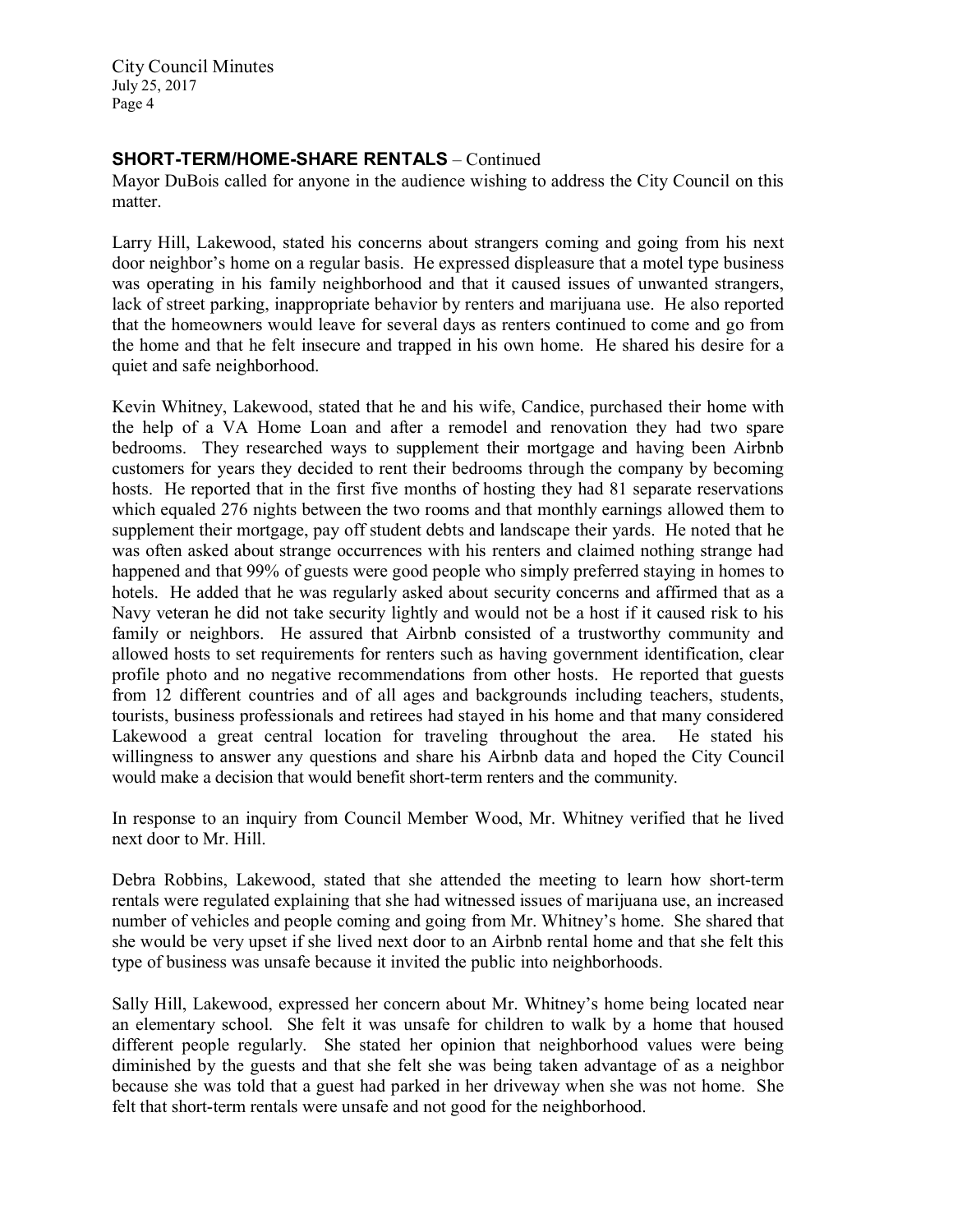### SHORT-TERM/HOME-SHARE RENTALS – Continued

Mayor DuBois called for anyone in the audience wishing to address the City Council on this matter.

Larry Hill, Lakewood, stated his concerns about strangers coming and going from his next door neighbor's home on a regular basis. He expressed displeasure that a motel type business was operating in his family neighborhood and that it caused issues of unwanted strangers, lack of street parking, inappropriate behavior by renters and marijuana use. He also reported that the homeowners would leave for several days as renters continued to come and go from the home and that he felt insecure and trapped in his own home. He shared his desire for a quiet and safe neighborhood.

Kevin Whitney, Lakewood, stated that he and his wife, Candice, purchased their home with the help of a VA Home Loan and after a remodel and renovation they had two spare bedrooms. They researched ways to supplement their mortgage and having been Airbnb customers for years they decided to rent their bedrooms through the company by becoming hosts. He reported that in the first five months of hosting they had 81 separate reservations which equaled 276 nights between the two rooms and that monthly earnings allowed them to supplement their mortgage, pay off student debts and landscape their yards. He noted that he was often asked about strange occurrences with his renters and claimed nothing strange had happened and that 99% of guests were good people who simply preferred staying in homes to hotels. He added that he was regularly asked about security concerns and affirmed that as a Navy veteran he did not take security lightly and would not be a host if it caused risk to his family or neighbors. He assured that Airbnb consisted of a trustworthy community and allowed hosts to set requirements for renters such as having government identification, clear profile photo and no negative recommendations from other hosts. He reported that guests from 12 different countries and of all ages and backgrounds including teachers, students, tourists, business professionals and retirees had stayed in his home and that many considered Lakewood a great central location for traveling throughout the area. He stated his willingness to answer any questions and share his Airbnb data and hoped the City Council would make a decision that would benefit short-term renters and the community.

In response to an inquiry from Council Member Wood, Mr. Whitney verified that he lived next door to Mr. Hill.

Debra Robbins, Lakewood, stated that she attended the meeting to learn how short-term rentals were regulated explaining that she had witnessed issues of marijuana use, an increased number of vehicles and people coming and going from Mr. Whitney's home. She shared that she would be very upset if she lived next door to an Airbnb rental home and that she felt this type of business was unsafe because it invited the public into neighborhoods.

Sally Hill, Lakewood, expressed her concern about Mr. Whitney's home being located near an elementary school. She felt it was unsafe for children to walk by a home that housed different people regularly. She stated her opinion that neighborhood values were being diminished by the guests and that she felt she was being taken advantage of as a neighbor because she was told that a guest had parked in her driveway when she was not home. She felt that short-term rentals were unsafe and not good for the neighborhood.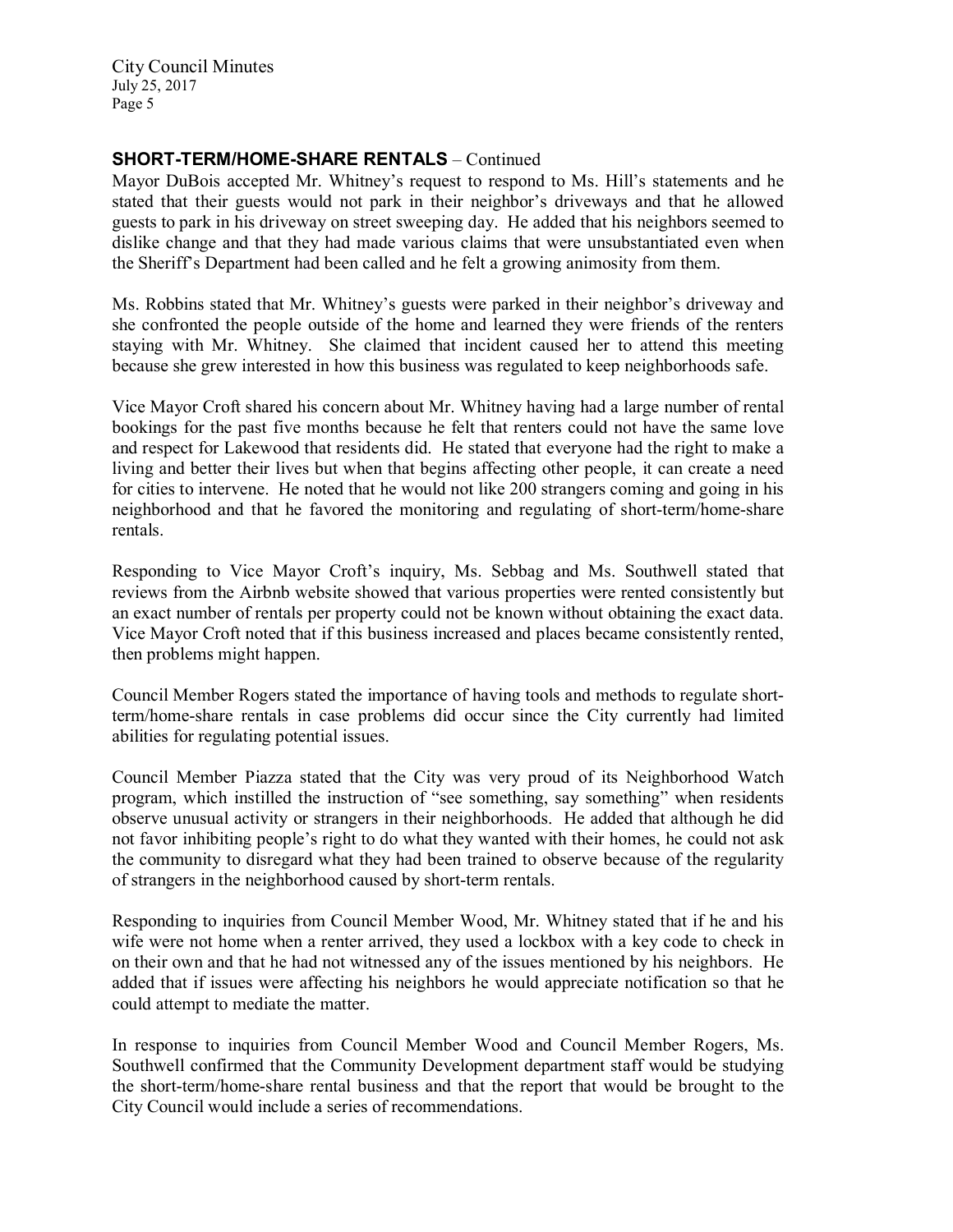# SHORT-TERM/HOME-SHARE RENTALS – Continued

Mayor DuBois accepted Mr. Whitney's request to respond to Ms. Hill's statements and he stated that their guests would not park in their neighbor's driveways and that he allowed guests to park in his driveway on street sweeping day. He added that his neighbors seemed to dislike change and that they had made various claims that were unsubstantiated even when the Sheriff's Department had been called and he felt a growing animosity from them.

Ms. Robbins stated that Mr. Whitney's guests were parked in their neighbor's driveway and she confronted the people outside of the home and learned they were friends of the renters staying with Mr. Whitney. She claimed that incident caused her to attend this meeting because she grew interested in how this business was regulated to keep neighborhoods safe.

Vice Mayor Croft shared his concern about Mr. Whitney having had a large number of rental bookings for the past five months because he felt that renters could not have the same love and respect for Lakewood that residents did. He stated that everyone had the right to make a living and better their lives but when that begins affecting other people, it can create a need for cities to intervene. He noted that he would not like 200 strangers coming and going in his neighborhood and that he favored the monitoring and regulating of short-term/home-share rentals.

Responding to Vice Mayor Croft's inquiry, Ms. Sebbag and Ms. Southwell stated that reviews from the Airbnb website showed that various properties were rented consistently but an exact number of rentals per property could not be known without obtaining the exact data. Vice Mayor Croft noted that if this business increased and places became consistently rented, then problems might happen.

Council Member Rogers stated the importance of having tools and methods to regulate shortterm/home-share rentals in case problems did occur since the City currently had limited abilities for regulating potential issues.

Council Member Piazza stated that the City was very proud of its Neighborhood Watch program, which instilled the instruction of "see something, say something" when residents observe unusual activity or strangers in their neighborhoods. He added that although he did not favor inhibiting people's right to do what they wanted with their homes, he could not ask the community to disregard what they had been trained to observe because of the regularity of strangers in the neighborhood caused by short-term rentals.

Responding to inquiries from Council Member Wood, Mr. Whitney stated that if he and his wife were not home when a renter arrived, they used a lockbox with a key code to check in on their own and that he had not witnessed any of the issues mentioned by his neighbors. He added that if issues were affecting his neighbors he would appreciate notification so that he could attempt to mediate the matter.

In response to inquiries from Council Member Wood and Council Member Rogers, Ms. Southwell confirmed that the Community Development department staff would be studying the short-term/home-share rental business and that the report that would be brought to the City Council would include a series of recommendations.